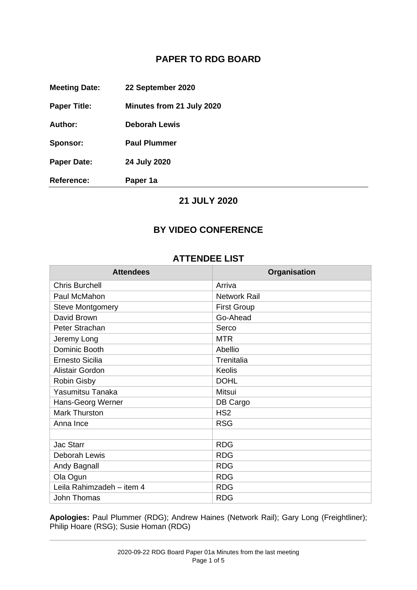## **PAPER TO RDG BOARD**

**Meeting Date: 22 September 2020**

**Paper Title: Minutes from 21 July 2020**

**Author: Deborah Lewis**

**Sponsor: Paul Plummer**

**Paper Date: 24 July 2020**

**Reference: Paper 1a**

## **21 JULY 2020**

## **BY VIDEO CONFERENCE**

### **ATTENDEE LIST**

| <b>Attendees</b>          | Organisation        |
|---------------------------|---------------------|
| <b>Chris Burchell</b>     | Arriva              |
| Paul McMahon              | <b>Network Rail</b> |
| <b>Steve Montgomery</b>   | <b>First Group</b>  |
| David Brown               | Go-Ahead            |
| Peter Strachan            | Serco               |
| Jeremy Long               | <b>MTR</b>          |
| Dominic Booth             | Abellio             |
| <b>Ernesto Sicilia</b>    | Trenitalia          |
| <b>Alistair Gordon</b>    | <b>Keolis</b>       |
| <b>Robin Gisby</b>        | <b>DOHL</b>         |
| Yasumitsu Tanaka          | Mitsui              |
| Hans-Georg Werner         | DB Cargo            |
| <b>Mark Thurston</b>      | HS <sub>2</sub>     |
| Anna Ince                 | <b>RSG</b>          |
|                           |                     |
| <b>Jac Starr</b>          | <b>RDG</b>          |
| Deborah Lewis             | <b>RDG</b>          |
| Andy Bagnall              | <b>RDG</b>          |
| Ola Ogun                  | <b>RDG</b>          |
| Leila Rahimzadeh - item 4 | <b>RDG</b>          |
| John Thomas               | <b>RDG</b>          |

**Apologies:** Paul Plummer (RDG); Andrew Haines (Network Rail); Gary Long (Freightliner); Philip Hoare (RSG); Susie Homan (RDG)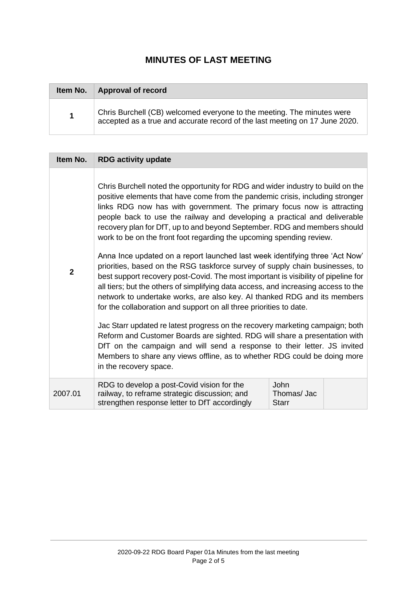# **MINUTES OF LAST MEETING**

| Item No. | <b>Approval of record</b>                                                                                                                             |
|----------|-------------------------------------------------------------------------------------------------------------------------------------------------------|
| 1        | Chris Burchell (CB) welcomed everyone to the meeting. The minutes were<br>accepted as a true and accurate record of the last meeting on 17 June 2020. |

| Item No.       | <b>RDG activity update</b>                                                                                                                                                                                                                                                                                                                                                                                                                                                                                                                                                                                                                                                                                                                                                                                                                                                                                                                                                                                                                                                                                                                                                                                                                                                                                                   |                             |  |
|----------------|------------------------------------------------------------------------------------------------------------------------------------------------------------------------------------------------------------------------------------------------------------------------------------------------------------------------------------------------------------------------------------------------------------------------------------------------------------------------------------------------------------------------------------------------------------------------------------------------------------------------------------------------------------------------------------------------------------------------------------------------------------------------------------------------------------------------------------------------------------------------------------------------------------------------------------------------------------------------------------------------------------------------------------------------------------------------------------------------------------------------------------------------------------------------------------------------------------------------------------------------------------------------------------------------------------------------------|-----------------------------|--|
| $\overline{2}$ | Chris Burchell noted the opportunity for RDG and wider industry to build on the<br>positive elements that have come from the pandemic crisis, including stronger<br>links RDG now has with government. The primary focus now is attracting<br>people back to use the railway and developing a practical and deliverable<br>recovery plan for DfT, up to and beyond September. RDG and members should<br>work to be on the front foot regarding the upcoming spending review.<br>Anna Ince updated on a report launched last week identifying three 'Act Now'<br>priorities, based on the RSG taskforce survey of supply chain businesses, to<br>best support recovery post-Covid. The most important is visibility of pipeline for<br>all tiers; but the others of simplifying data access, and increasing access to the<br>network to undertake works, are also key. Al thanked RDG and its members<br>for the collaboration and support on all three priorities to date.<br>Jac Starr updated re latest progress on the recovery marketing campaign; both<br>Reform and Customer Boards are sighted. RDG will share a presentation with<br>DfT on the campaign and will send a response to their letter. JS invited<br>Members to share any views offline, as to whether RDG could be doing more<br>in the recovery space. |                             |  |
| 2007.01        | RDG to develop a post-Covid vision for the<br>railway, to reframe strategic discussion; and<br>strengthen response letter to DfT accordingly                                                                                                                                                                                                                                                                                                                                                                                                                                                                                                                                                                                                                                                                                                                                                                                                                                                                                                                                                                                                                                                                                                                                                                                 | John<br>Thomas/Jac<br>Starr |  |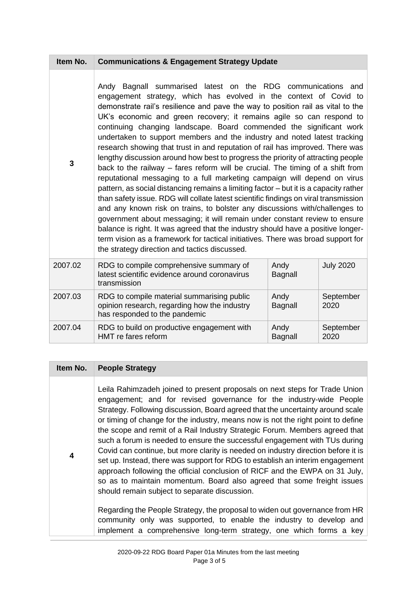### **Item No. Communications & Engagement Strategy Update**

**3** Andy Bagnall summarised latest on the RDG communications and engagement strategy, which has evolved in the context of Covid to demonstrate rail's resilience and pave the way to position rail as vital to the UK's economic and green recovery; it remains agile so can respond to continuing changing landscape. Board commended the significant work undertaken to support members and the industry and noted latest tracking research showing that trust in and reputation of rail has improved. There was lengthy discussion around how best to progress the priority of attracting people back to the railway – fares reform will be crucial. The timing of a shift from reputational messaging to a full marketing campaign will depend on virus pattern, as social distancing remains a limiting factor – but it is a capacity rather than safety issue. RDG will collate latest scientific findings on viral transmission and any known risk on trains, to bolster any discussions with/challenges to government about messaging; it will remain under constant review to ensure balance is right. It was agreed that the industry should have a positive longerterm vision as a framework for tactical initiatives. There was broad support for the strategy direction and tactics discussed.

| 2007.02 | RDG to compile comprehensive summary of<br>latest scientific evidence around coronavirus<br>transmission                    | Andy<br>Bagnall | <b>July 2020</b>  |
|---------|-----------------------------------------------------------------------------------------------------------------------------|-----------------|-------------------|
| 2007.03 | RDG to compile material summarising public<br>opinion research, regarding how the industry<br>has responded to the pandemic | Andy<br>Bagnall | September<br>2020 |
| 2007.04 | RDG to build on productive engagement with<br>HMT re fares reform                                                           | Andy<br>Bagnall | September<br>2020 |

#### **Item No. People Strategy**

**4**

Leila Rahimzadeh joined to present proposals on next steps for Trade Union engagement; and for revised governance for the industry-wide People Strategy. Following discussion, Board agreed that the uncertainty around scale or timing of change for the industry, means now is not the right point to define the scope and remit of a Rail Industry Strategic Forum. Members agreed that such a forum is needed to ensure the successful engagement with TUs during Covid can continue, but more clarity is needed on industry direction before it is set up. Instead, there was support for RDG to establish an interim engagement approach following the official conclusion of RICF and the EWPA on 31 July, so as to maintain momentum. Board also agreed that some freight issues should remain subject to separate discussion.

Regarding the People Strategy, the proposal to widen out governance from HR community only was supported, to enable the industry to develop and implement a comprehensive long-term strategy, one which forms a key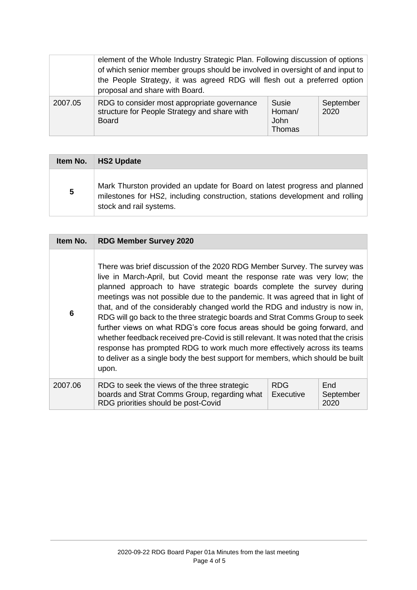|         | element of the Whole Industry Strategic Plan. Following discussion of options<br>of which senior member groups should be involved in oversight of and input to<br>the People Strategy, it was agreed RDG will flesh out a preferred option<br>proposal and share with Board. |                                                 |                   |
|---------|------------------------------------------------------------------------------------------------------------------------------------------------------------------------------------------------------------------------------------------------------------------------------|-------------------------------------------------|-------------------|
| 2007.05 | RDG to consider most appropriate governance<br>structure for People Strategy and share with<br><b>Board</b>                                                                                                                                                                  | <b>Susie</b><br>Homan/<br><b>John</b><br>Thomas | September<br>2020 |

|   | Item No.   HS2 Update                                                                                                                                                                |
|---|--------------------------------------------------------------------------------------------------------------------------------------------------------------------------------------|
| 5 | Mark Thurston provided an update for Board on latest progress and planned<br>milestones for HS2, including construction, stations development and rolling<br>stock and rail systems. |

| Item No. | <b>RDG Member Survey 2020</b>                                                                                                                                                                                                                                                                                                                                                                                                                                                                                                                                                                                                                                                                                                                                                                                            |                         |                          |
|----------|--------------------------------------------------------------------------------------------------------------------------------------------------------------------------------------------------------------------------------------------------------------------------------------------------------------------------------------------------------------------------------------------------------------------------------------------------------------------------------------------------------------------------------------------------------------------------------------------------------------------------------------------------------------------------------------------------------------------------------------------------------------------------------------------------------------------------|-------------------------|--------------------------|
| 6        | There was brief discussion of the 2020 RDG Member Survey. The survey was<br>live in March-April, but Covid meant the response rate was very low; the<br>planned approach to have strategic boards complete the survey during<br>meetings was not possible due to the pandemic. It was agreed that in light of<br>that, and of the considerably changed world the RDG and industry is now in,<br>RDG will go back to the three strategic boards and Strat Comms Group to seek<br>further views on what RDG's core focus areas should be going forward, and<br>whether feedback received pre-Covid is still relevant. It was noted that the crisis<br>response has prompted RDG to work much more effectively across its teams<br>to deliver as a single body the best support for members, which should be built<br>upon. |                         |                          |
| 2007.06  | RDG to seek the views of the three strategic<br>boards and Strat Comms Group, regarding what<br>RDG priorities should be post-Covid                                                                                                                                                                                                                                                                                                                                                                                                                                                                                                                                                                                                                                                                                      | <b>RDG</b><br>Executive | End<br>September<br>2020 |